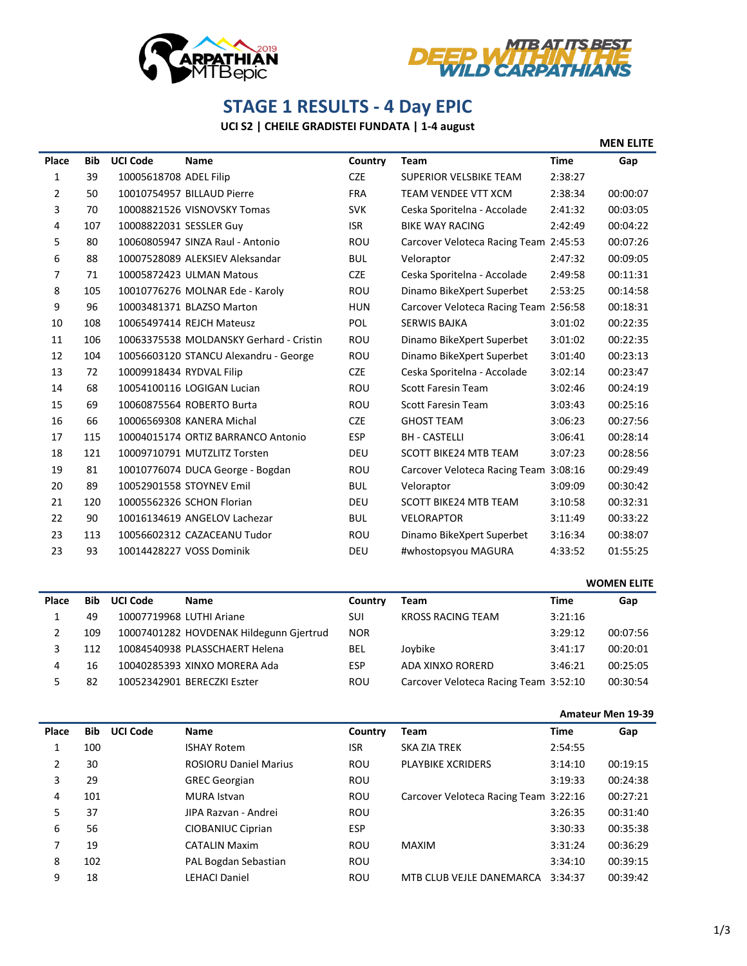



## **STAGE 1 RESULTS - 4 Day EPIC**

## **UCI S2 | CHEILE GRADISTEI FUNDATA | 1-4 august**

|       |            |                          |                                         |            |                                       |             | <b>MEN ELITE</b> |
|-------|------------|--------------------------|-----------------------------------------|------------|---------------------------------------|-------------|------------------|
| Place | <b>Bib</b> | <b>UCI Code</b>          | <b>Name</b>                             | Country    | <b>Team</b>                           | <b>Time</b> | Gap              |
| 1     | 39         | 10005618708 ADEL Filip   |                                         | <b>CZE</b> | <b>SUPERIOR VELSBIKE TEAM</b>         | 2:38:27     |                  |
| 2     | 50         |                          | 10010754957 BILLAUD Pierre              | <b>FRA</b> | TEAM VENDEE VTT XCM                   | 2:38:34     | 00:00:07         |
| 3     | 70         |                          | 10008821526 VISNOVSKY Tomas             | <b>SVK</b> | Ceska Sporitelna - Accolade           | 2:41:32     | 00:03:05         |
| 4     | 107        | 10008822031 SESSLER Guy  |                                         | <b>ISR</b> | <b>BIKE WAY RACING</b>                | 2:42:49     | 00:04:22         |
| 5     | 80         |                          | 10060805947 SINZA Raul - Antonio        | <b>ROU</b> | Carcover Veloteca Racing Team 2:45:53 |             | 00:07:26         |
| 6     | 88         |                          | 10007528089 ALEKSIEV Aleksandar         | <b>BUL</b> | Veloraptor                            | 2:47:32     | 00:09:05         |
| 7     | 71         |                          | 10005872423 ULMAN Matous                | <b>CZE</b> | Ceska Sporitelna - Accolade           | 2:49:58     | 00:11:31         |
| 8     | 105        |                          | 10010776276 MOLNAR Ede - Karoly         | ROU        | Dinamo BikeXpert Superbet             | 2:53:25     | 00:14:58         |
| 9     | 96         |                          | 10003481371 BLAZSO Marton               | <b>HUN</b> | Carcover Veloteca Racing Team 2:56:58 |             | 00:18:31         |
| 10    | 108        |                          | 10065497414 REJCH Mateusz               | POL        | <b>SERWIS BAJKA</b>                   | 3:01:02     | 00:22:35         |
| 11    | 106        |                          | 10063375538 MOLDANSKY Gerhard - Cristin | ROU        | Dinamo BikeXpert Superbet             | 3:01:02     | 00:22:35         |
| 12    | 104        |                          | 10056603120 STANCU Alexandru - George   | ROU        | Dinamo BikeXpert Superbet             | 3:01:40     | 00:23:13         |
| 13    | 72         | 10009918434 RYDVAL Filip |                                         | <b>CZE</b> | Ceska Sporitelna - Accolade           | 3:02:14     | 00:23:47         |
| 14    | 68         |                          | 10054100116 LOGIGAN Lucian              | <b>ROU</b> | <b>Scott Faresin Team</b>             | 3:02:46     | 00:24:19         |
| 15    | 69         |                          | 10060875564 ROBERTO Burta               | <b>ROU</b> | <b>Scott Faresin Team</b>             | 3:03:43     | 00:25:16         |
| 16    | 66         |                          | 10006569308 KANERA Michal               | <b>CZE</b> | <b>GHOST TEAM</b>                     | 3:06:23     | 00:27:56         |
| 17    | 115        |                          | 10004015174 ORTIZ BARRANCO Antonio      | <b>ESP</b> | <b>BH - CASTELLI</b>                  | 3:06:41     | 00:28:14         |
| 18    | 121        |                          | 10009710791 MUTZLITZ Torsten            | <b>DEU</b> | <b>SCOTT BIKE24 MTB TEAM</b>          | 3:07:23     | 00:28:56         |
| 19    | 81         |                          | 10010776074 DUCA George - Bogdan        | ROU        | Carcover Veloteca Racing Team 3:08:16 |             | 00:29:49         |
| 20    | 89         |                          | 10052901558 STOYNEV Emil                | <b>BUL</b> | Veloraptor                            | 3:09:09     | 00:30:42         |
| 21    | 120        |                          | 10005562326 SCHON Florian               | DEU        | <b>SCOTT BIKE24 MTB TEAM</b>          | 3:10:58     | 00:32:31         |
| 22    | 90         |                          | 10016134619 ANGELOV Lachezar            | <b>BUL</b> | <b>VELORAPTOR</b>                     | 3:11:49     | 00:33:22         |
| 23    | 113        |                          | 10056602312 CAZACEANU Tudor             | <b>ROU</b> | Dinamo BikeXpert Superbet             | 3:16:34     | 00:38:07         |
| 23    | 93         |                          | 10014428227 VOSS Dominik                | DEU        | #whostopsyou MAGURA                   | 4:33:52     | 01:55:25         |

|       |            |                          |                                         |            |                                       | <b>WOMEN ELITE</b> |          |  |
|-------|------------|--------------------------|-----------------------------------------|------------|---------------------------------------|--------------------|----------|--|
| Place | <b>Bib</b> | <b>UCI Code</b>          | <b>Name</b>                             | Country    | Team                                  | Time               | Gap      |  |
|       | 49         | 10007719968 LUTHI Ariane |                                         | SUI        | <b>KROSS RACING TEAM</b>              | 3:21:16            |          |  |
|       | 109        |                          | 10007401282 HOVDENAK Hildegunn Gjertrud | <b>NOR</b> |                                       | 3:29:12            | 00:07:56 |  |
|       | 112        |                          | 10084540938 PLASSCHAERT Helena          | BEL        | Joybike                               | 3:41:17            | 00:20:01 |  |
| 4     | 16         |                          | 10040285393 XINXO MORERA Ada            | <b>ESP</b> | ADA XINXO RORERD                      | 3:46:21            | 00:25:05 |  |
|       | 82         |                          | 10052342901 BERECZKI Eszter             | ROU        | Carcover Veloteca Racing Team 3:52:10 |                    | 00:30:54 |  |

|       |            |                 |                              |            |                                       | <b>Amateur Men 19-39</b> |          |  |
|-------|------------|-----------------|------------------------------|------------|---------------------------------------|--------------------------|----------|--|
| Place | <b>Bib</b> | <b>UCI Code</b> | <b>Name</b>                  | Country    | Team                                  | <b>Time</b>              | Gap      |  |
|       | 100        |                 | <b>ISHAY Rotem</b>           | <b>ISR</b> | SKA ZIA TREK                          | 2:54:55                  |          |  |
| 2     | 30         |                 | <b>ROSIORU Daniel Marius</b> | ROU        | <b>PLAYBIKE XCRIDERS</b>              | 3:14:10                  | 00:19:15 |  |
| 3     | 29         |                 | <b>GREC Georgian</b>         | ROU        |                                       | 3:19:33                  | 00:24:38 |  |
| 4     | 101        |                 | <b>MURA</b> Istvan           | ROU        | Carcover Veloteca Racing Team 3:22:16 |                          | 00:27:21 |  |
| 5     | 37         |                 | JIPA Razvan - Andrei         | <b>ROU</b> |                                       | 3:26:35                  | 00:31:40 |  |
| 6     | 56         |                 | CIOBANIUC Ciprian            | <b>ESP</b> |                                       | 3:30:33                  | 00:35:38 |  |
| 7     | 19         |                 | <b>CATALIN Maxim</b>         | ROU        | <b>MAXIM</b>                          | 3:31:24                  | 00:36:29 |  |
| 8     | 102        |                 | PAL Bogdan Sebastian         | ROU        |                                       | 3:34:10                  | 00:39:15 |  |
| 9     | 18         |                 | <b>LEHACI Daniel</b>         | <b>ROU</b> | MTB CLUB VEJLE DANEMARCA              | 3:34:37                  | 00:39:42 |  |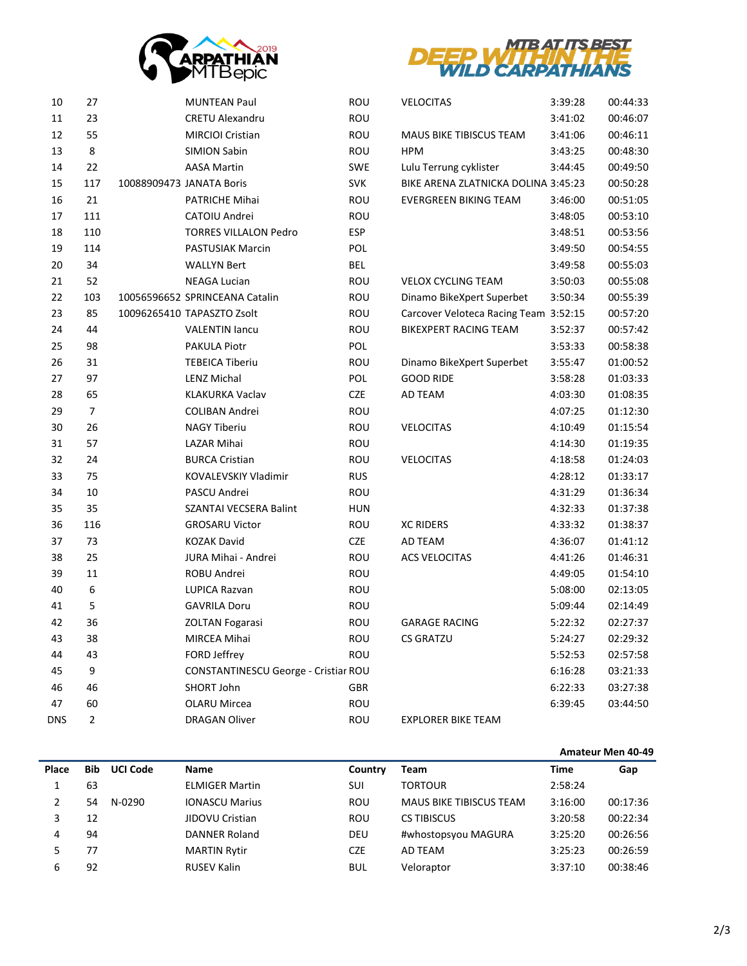



| 10         | 27             |                          | <b>MUNTEAN Paul</b>                  | ROU        | <b>VELOCITAS</b>                      | 3:39:28 | 00:44:33 |
|------------|----------------|--------------------------|--------------------------------------|------------|---------------------------------------|---------|----------|
| 11         | 23             |                          | <b>CRETU Alexandru</b>               | ROU        |                                       | 3:41:02 | 00:46:07 |
| 12         | 55             |                          | <b>MIRCIOI Cristian</b>              | ROU        | MAUS BIKE TIBISCUS TEAM               | 3:41:06 | 00:46:11 |
| 13         | 8              |                          | <b>SIMION Sabin</b>                  | ROU        | <b>HPM</b>                            | 3:43:25 | 00:48:30 |
| 14         | 22             |                          | <b>AASA Martin</b>                   | <b>SWE</b> | Lulu Terrung cyklister                | 3:44:45 | 00:49:50 |
| 15         | 117            | 10088909473 JANATA Boris |                                      | <b>SVK</b> | BIKE ARENA ZLATNICKA DOLINA 3:45:23   |         | 00:50:28 |
| 16         | 21             |                          | PATRICHE Mihai                       | ROU        | <b>EVERGREEN BIKING TEAM</b>          | 3:46:00 | 00:51:05 |
| 17         | 111            |                          | CATOIU Andrei                        | ROU        |                                       | 3:48:05 | 00:53:10 |
| 18         | 110            |                          | <b>TORRES VILLALON Pedro</b>         | <b>ESP</b> |                                       | 3:48:51 | 00:53:56 |
| 19         | 114            |                          | PASTUSIAK Marcin                     | <b>POL</b> |                                       | 3:49:50 | 00:54:55 |
| 20         | 34             |                          | <b>WALLYN Bert</b>                   | <b>BEL</b> |                                       | 3:49:58 | 00:55:03 |
| 21         | 52             |                          | <b>NEAGA Lucian</b>                  | ROU        | <b>VELOX CYCLING TEAM</b>             | 3:50:03 | 00:55:08 |
| 22         | 103            |                          | 10056596652 SPRINCEANA Catalin       | ROU        | Dinamo BikeXpert Superbet             | 3:50:34 | 00:55:39 |
| 23         | 85             |                          | 10096265410 TAPASZTO Zsolt           | ROU        | Carcover Veloteca Racing Team 3:52:15 |         | 00:57:20 |
| 24         | 44             |                          | <b>VALENTIN lancu</b>                | ROU        | <b>BIKEXPERT RACING TEAM</b>          | 3:52:37 | 00:57:42 |
| 25         | 98             |                          | <b>PAKULA Piotr</b>                  | POL        |                                       | 3:53:33 | 00:58:38 |
| 26         | 31             |                          | <b>TEBEICA Tiberiu</b>               | ROU        | Dinamo BikeXpert Superbet             | 3:55:47 | 01:00:52 |
| 27         | 97             |                          | <b>LENZ Michal</b>                   | POL        | <b>GOOD RIDE</b>                      | 3:58:28 | 01:03:33 |
| 28         | 65             |                          | <b>KLAKURKA Vaclav</b>               | <b>CZE</b> | AD TEAM                               | 4:03:30 | 01:08:35 |
| 29         | $\overline{7}$ |                          | <b>COLIBAN Andrei</b>                | ROU        |                                       | 4:07:25 | 01:12:30 |
| 30         | 26             |                          | <b>NAGY Tiberiu</b>                  | ROU        | <b>VELOCITAS</b>                      | 4:10:49 | 01:15:54 |
| 31         | 57             |                          | LAZAR Mihai                          | ROU        |                                       | 4:14:30 | 01:19:35 |
| 32         | 24             |                          | <b>BURCA Cristian</b>                | ROU        | <b>VELOCITAS</b>                      | 4:18:58 | 01:24:03 |
| 33         | 75             |                          | KOVALEVSKIY Vladimir                 | <b>RUS</b> |                                       | 4:28:12 | 01:33:17 |
| 34         | 10             |                          | PASCU Andrei                         | ROU        |                                       | 4:31:29 | 01:36:34 |
| 35         | 35             |                          | SZANTAI VECSERA Balint               | <b>HUN</b> |                                       | 4:32:33 | 01:37:38 |
| 36         | 116            |                          | <b>GROSARU Victor</b>                | ROU        | <b>XC RIDERS</b>                      | 4:33:32 | 01:38:37 |
| 37         | 73             |                          | <b>KOZAK David</b>                   | CZE        | AD TEAM                               | 4:36:07 | 01:41:12 |
| 38         | 25             |                          | JURA Mihai - Andrei                  | ROU        | <b>ACS VELOCITAS</b>                  | 4:41:26 | 01:46:31 |
| 39         | 11             |                          | ROBU Andrei                          | ROU        |                                       | 4:49:05 | 01:54:10 |
| 40         | 6              |                          | LUPICA Razvan                        | ROU        |                                       | 5:08:00 | 02:13:05 |
| 41         | 5              |                          | <b>GAVRILA Doru</b>                  | ROU        |                                       | 5:09:44 | 02:14:49 |
| 42         | 36             |                          | <b>ZOLTAN Fogarasi</b>               | ROU        | <b>GARAGE RACING</b>                  | 5:22:32 | 02:27:37 |
| 43         | 38             |                          | MIRCEA Mihai                         | ROU        | <b>CS GRATZU</b>                      | 5:24:27 | 02:29:32 |
| 44         | 43             |                          | FORD Jeffrey                         | ROU        |                                       | 5:52:53 | 02:57:58 |
| 45         | 9              |                          | CONSTANTINESCU George - Cristiar ROU |            |                                       | 6:16:28 | 03:21:33 |
| 46         | 46             |                          | SHORT John                           | <b>GBR</b> |                                       | 6:22:33 | 03:27:38 |
| 47         | 60             |                          | <b>OLARU Mircea</b>                  | ROU        |                                       | 6:39:45 | 03:44:50 |
| <b>DNS</b> | $\overline{2}$ |                          | <b>DRAGAN Oliver</b>                 | ROU        | <b>EXPLORER BIKE TEAM</b>             |         |          |
|            |                |                          |                                      |            |                                       |         |          |

| ıntrv | Team           | Time    | Gap                         |
|-------|----------------|---------|-----------------------------|
|       | <b>TORTOUR</b> | 2:58:24 |                             |
|       |                | .       | $\sim$ $\sim$ $\sim$ $\sim$ |

**Amateur Men 40-49**

| Place | <b>Bib</b> | <b>UCI Code</b> | <b>Name</b>           | Country    | Team                           | Time    | Gap      |
|-------|------------|-----------------|-----------------------|------------|--------------------------------|---------|----------|
|       | 63         |                 | <b>ELMIGER Martin</b> | SUI        | <b>TORTOUR</b>                 | 2:58:24 |          |
|       | 54         | N-0290          | <b>IONASCU Marius</b> | ROU        | <b>MAUS BIKE TIBISCUS TEAM</b> | 3:16:00 | 00:17:36 |
|       | 12         |                 | JIDOVU Cristian       | ROU        | <b>CS TIBISCUS</b>             | 3:20:58 | 00:22:34 |
| 4     | 94         |                 | <b>DANNER Roland</b>  | DEU        | #whostopsyou MAGURA            | 3:25:20 | 00:26:56 |
|       | 77         |                 | <b>MARTIN Rytir</b>   | <b>CZE</b> | AD TEAM                        | 3:25:23 | 00:26:59 |
| 6     | 92         |                 | <b>RUSEV Kalin</b>    | <b>BUL</b> | Veloraptor                     | 3:37:10 | 00:38:46 |
|       |            |                 |                       |            |                                |         |          |